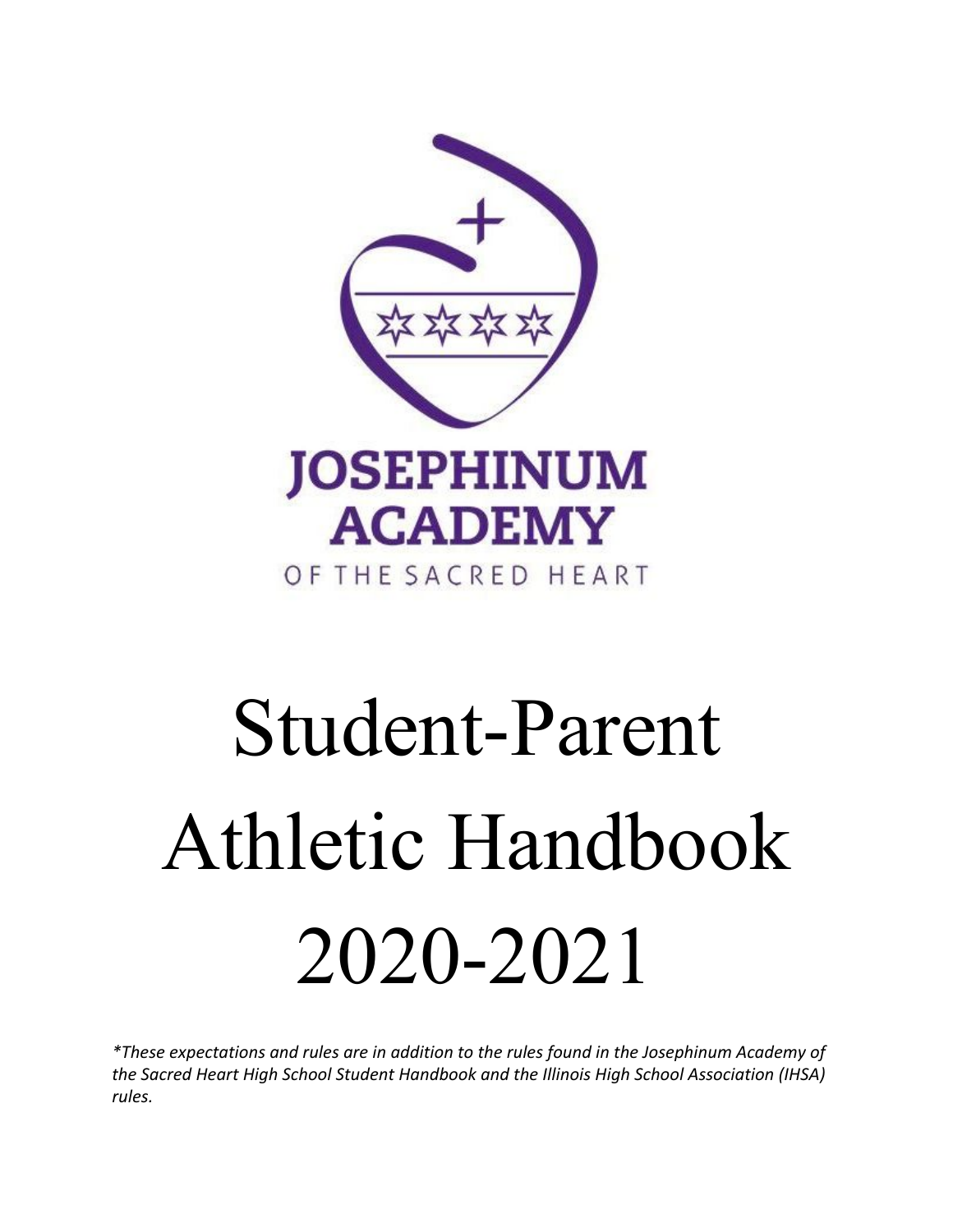

# Student-Parent Athletic Handbook 2020-2021

*\*These expectations and rules are in addition to the rules found in the Josephinum Academy of the Sacred Heart High School Student Handbook and the Illinois High School Association (IHSA) rules.*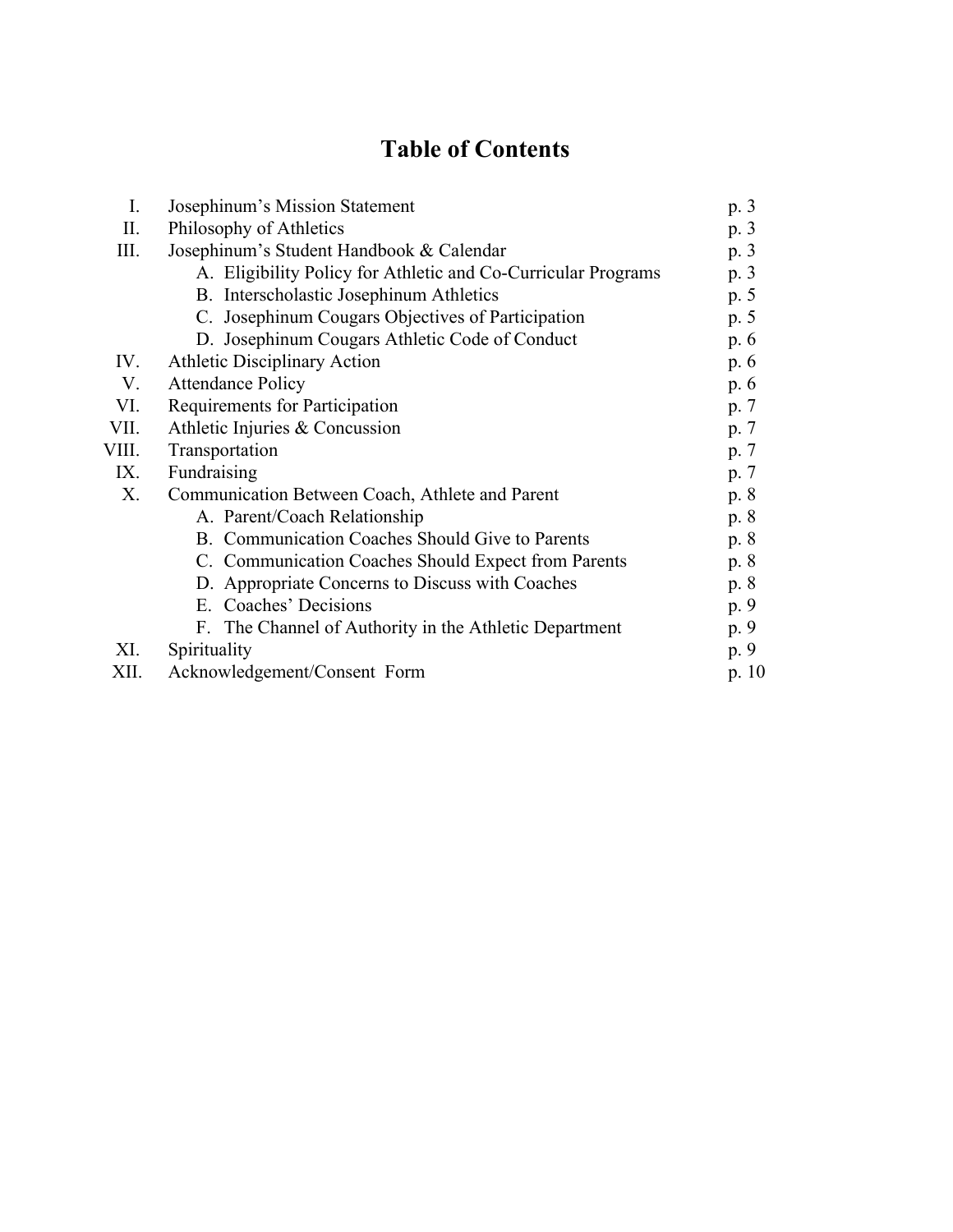# **Table of Contents**

| I.    | Josephinum's Mission Statement                                |         |
|-------|---------------------------------------------------------------|---------|
| П.    | Philosophy of Athletics                                       |         |
| Ш.    | Josephinum's Student Handbook & Calendar                      | p. 3    |
|       | A. Eligibility Policy for Athletic and Co-Curricular Programs | p. 3    |
|       | B. Interscholastic Josephinum Athletics                       | p. 5    |
|       | C. Josephinum Cougars Objectives of Participation             | p. 5    |
|       | D. Josephinum Cougars Athletic Code of Conduct                | p. $6$  |
| IV.   | <b>Athletic Disciplinary Action</b>                           | p. 6    |
| V.    | <b>Attendance Policy</b>                                      | p. 6    |
| VI.   | Requirements for Participation                                |         |
| VII.  | Athletic Injuries & Concussion                                |         |
| VIII. | Transportation                                                |         |
| IX.   | Fundraising                                                   |         |
| Х.    | Communication Between Coach, Athlete and Parent               | p. 8    |
|       | A. Parent/Coach Relationship                                  | p. 8    |
|       | B. Communication Coaches Should Give to Parents               | p. 8    |
|       | C. Communication Coaches Should Expect from Parents           | p. 8    |
|       | D. Appropriate Concerns to Discuss with Coaches               | p. 8    |
|       | E. Coaches' Decisions                                         | p. 9    |
|       | F. The Channel of Authority in the Athletic Department        | p. 9    |
| XI.   | Spirituality                                                  | p. 9    |
| XII.  | Acknowledgement/Consent Form                                  | p. $10$ |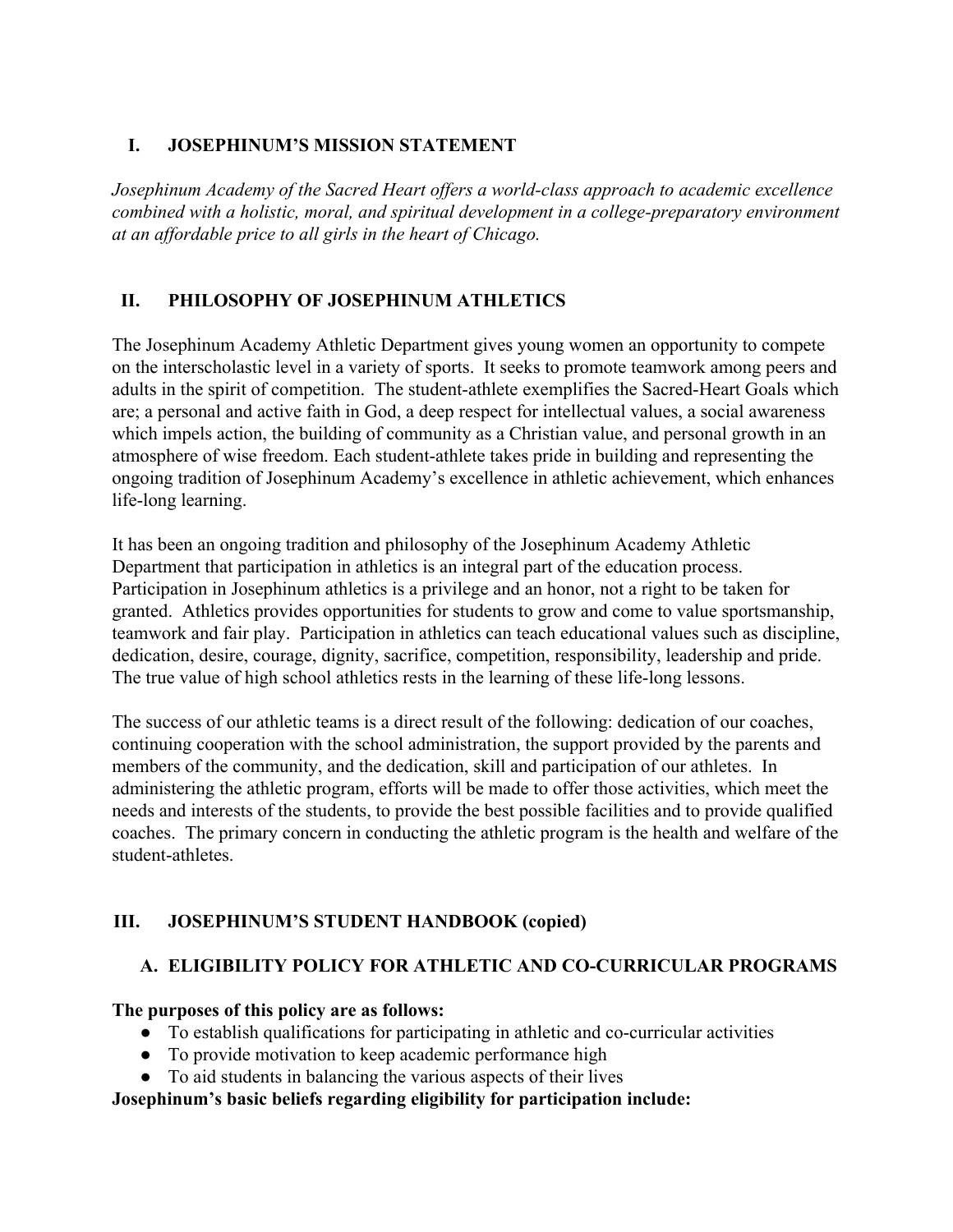#### **I. JOSEPHINUM'S MISSION STATEMENT**

*Josephinum Academy of the Sacred Heart offers a world-class approach to academic excellence combined with a holistic, moral, and spiritual development in a college-preparatory environment at an affordable price to all girls in the heart of Chicago.*

# **II. PHILOSOPHY OF JOSEPHINUM ATHLETICS**

The Josephinum Academy Athletic Department gives young women an opportunity to compete on the interscholastic level in a variety of sports. It seeks to promote teamwork among peers and adults in the spirit of competition. The student-athlete exemplifies the Sacred-Heart Goals which are; a personal and active faith in God, a deep respect for intellectual values, a social awareness which impels action, the building of community as a Christian value, and personal growth in an atmosphere of wise freedom. Each student-athlete takes pride in building and representing the ongoing tradition of Josephinum Academy's excellence in athletic achievement, which enhances life-long learning.

It has been an ongoing tradition and philosophy of the Josephinum Academy Athletic Department that participation in athletics is an integral part of the education process. Participation in Josephinum athletics is a privilege and an honor, not a right to be taken for granted. Athletics provides opportunities for students to grow and come to value sportsmanship, teamwork and fair play. Participation in athletics can teach educational values such as discipline, dedication, desire, courage, dignity, sacrifice, competition, responsibility, leadership and pride. The true value of high school athletics rests in the learning of these life-long lessons.

The success of our athletic teams is a direct result of the following: dedication of our coaches, continuing cooperation with the school administration, the support provided by the parents and members of the community, and the dedication, skill and participation of our athletes. In administering the athletic program, efforts will be made to offer those activities, which meet the needs and interests of the students, to provide the best possible facilities and to provide qualified coaches. The primary concern in conducting the athletic program is the health and welfare of the student-athletes.

#### **III. JOSEPHINUM'S STUDENT HANDBOOK (copied)**

#### **A. ELIGIBILITY POLICY FOR ATHLETIC AND CO-CURRICULAR PROGRAMS**

#### **The purposes of this policy are as follows:**

- To establish qualifications for participating in athletic and co-curricular activities
- To provide motivation to keep academic performance high
- To aid students in balancing the various aspects of their lives

#### **Josephinum's basic beliefs regarding eligibility for participation include:**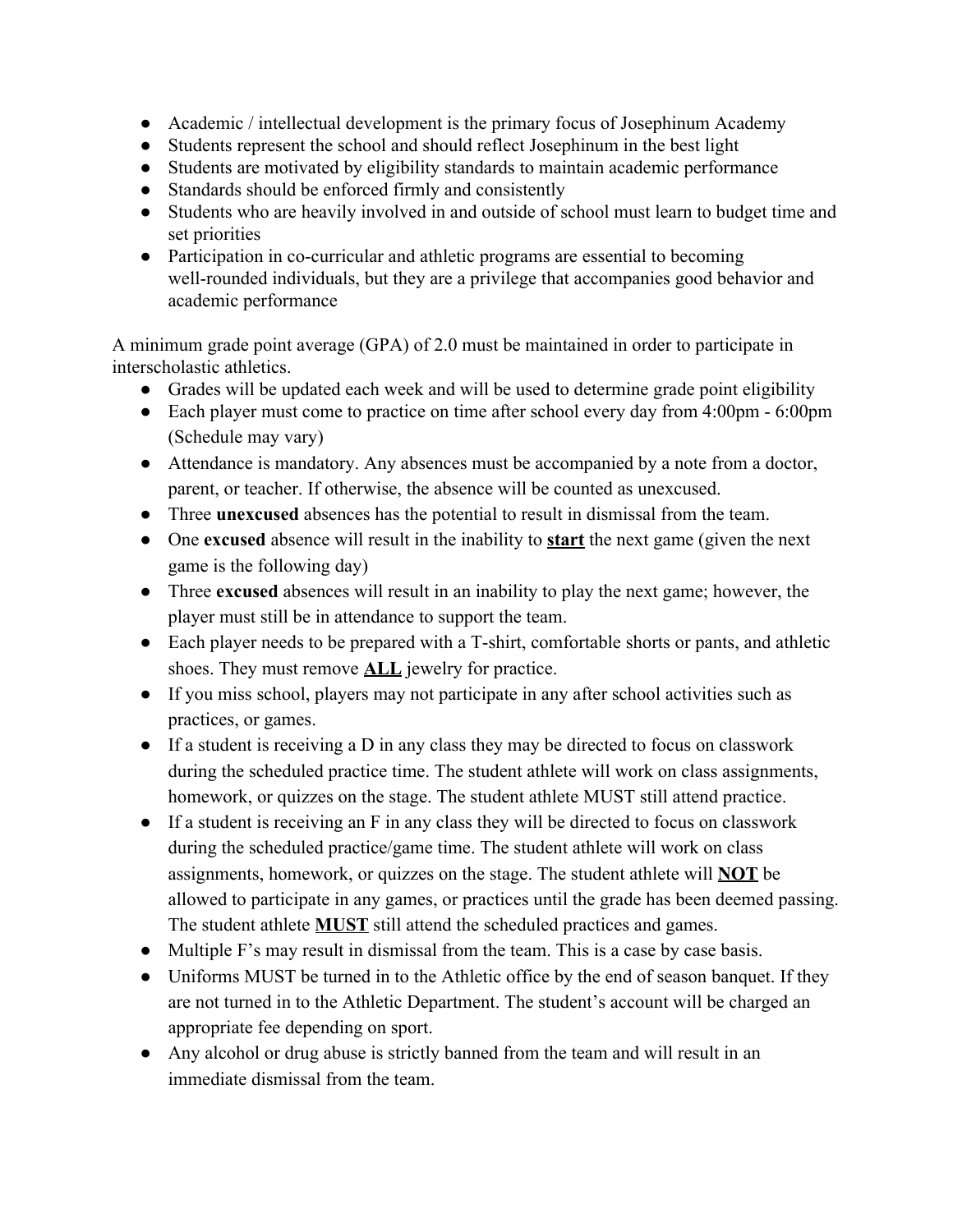- Academic / intellectual development is the primary focus of Josephinum Academy
- Students represent the school and should reflect Josephinum in the best light
- Students are motivated by eligibility standards to maintain academic performance
- Standards should be enforced firmly and consistently
- Students who are heavily involved in and outside of school must learn to budget time and set priorities
- Participation in co-curricular and athletic programs are essential to becoming well-rounded individuals, but they are a privilege that accompanies good behavior and academic performance

A minimum grade point average (GPA) of 2.0 must be maintained in order to participate in interscholastic athletics.

- Grades will be updated each week and will be used to determine grade point eligibility
- Each player must come to practice on time after school every day from 4:00pm 6:00pm (Schedule may vary)
- Attendance is mandatory. Any absences must be accompanied by a note from a doctor, parent, or teacher. If otherwise, the absence will be counted as unexcused.
- Three **unexcused** absences has the potential to result in dismissal from the team.
- One **excused** absence will result in the inability to **start** the next game (given the next game is the following day)
- Three **excused** absences will result in an inability to play the next game; however, the player must still be in attendance to support the team.
- Each player needs to be prepared with a T-shirt, comfortable shorts or pants, and athletic shoes. They must remove **ALL** jewelry for practice.
- If you miss school, players may not participate in any after school activities such as practices, or games.
- If a student is receiving a D in any class they may be directed to focus on classwork during the scheduled practice time. The student athlete will work on class assignments, homework, or quizzes on the stage. The student athlete MUST still attend practice.
- If a student is receiving an F in any class they will be directed to focus on classwork during the scheduled practice/game time. The student athlete will work on class assignments, homework, or quizzes on the stage. The student athlete will **NOT** be allowed to participate in any games, or practices until the grade has been deemed passing. The student athlete **MUST** still attend the scheduled practices and games.
- Multiple F's may result in dismissal from the team. This is a case by case basis.
- Uniforms MUST be turned in to the Athletic office by the end of season banquet. If they are not turned in to the Athletic Department. The student's account will be charged an appropriate fee depending on sport.
- Any alcohol or drug abuse is strictly banned from the team and will result in an immediate dismissal from the team.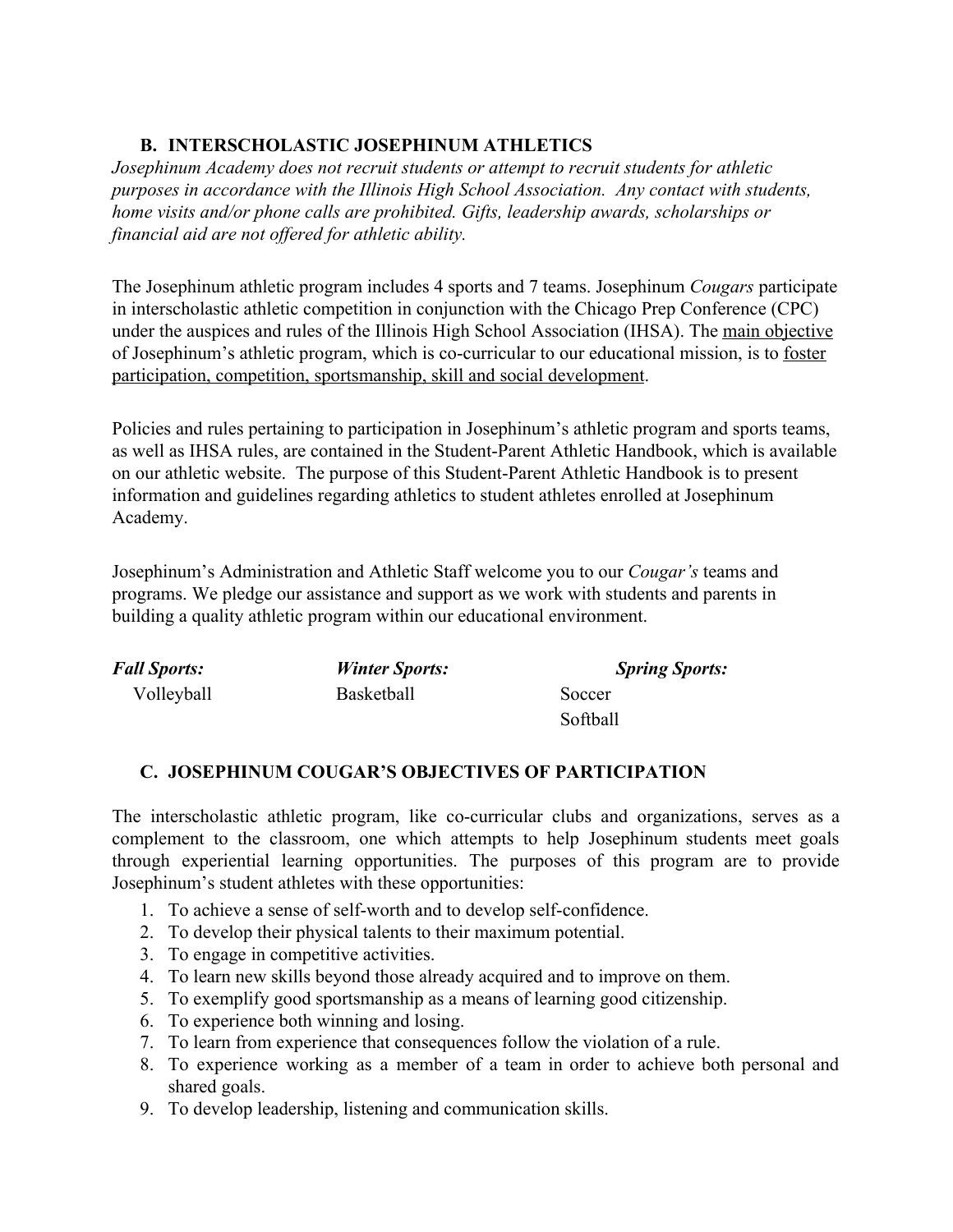## **B. INTERSCHOLASTIC JOSEPHINUM ATHLETICS**

*Josephinum Academy does not recruit students or attempt to recruit students for athletic purposes in accordance with the Illinois High School Association. Any contact with students, home visits and/or phone calls are prohibited. Gifts, leadership awards, scholarships or financial aid are not offered for athletic ability.*

The Josephinum athletic program includes 4 sports and 7 teams. Josephinum *Cougars* participate in interscholastic athletic competition in conjunction with the Chicago Prep Conference (CPC) under the auspices and rules of the Illinois High School Association (IHSA). The main objective of Josephinum's athletic program, which is co-curricular to our educational mission, is to foster participation, competition, sportsmanship, skill and social development.

Policies and rules pertaining to participation in Josephinum's athletic program and sports teams, as well as IHSA rules, are contained in the Student-Parent Athletic Handbook, which is available on our athletic website. The purpose of this Student-Parent Athletic Handbook is to present information and guidelines regarding athletics to student athletes enrolled at Josephinum Academy.

Josephinum's Administration and Athletic Staff welcome you to our *Cougar's* teams and programs. We pledge our assistance and support as we work with students and parents in building a quality athletic program within our educational environment.

| <b>Fall Sports:</b> | <b>Winter Sports:</b> | <b>Spring Sports:</b> |
|---------------------|-----------------------|-----------------------|
| Volleyball          | <b>Basketball</b>     | Soccer                |
|                     |                       | Softball              |

#### **C. JOSEPHINUM COUGAR'S OBJECTIVES OF PARTICIPATION**

The interscholastic athletic program, like co-curricular clubs and organizations, serves as a complement to the classroom, one which attempts to help Josephinum students meet goals through experiential learning opportunities. The purposes of this program are to provide Josephinum's student athletes with these opportunities:

- 1. To achieve a sense of self-worth and to develop self-confidence.
- 2. To develop their physical talents to their maximum potential.
- 3. To engage in competitive activities.
- 4. To learn new skills beyond those already acquired and to improve on them.
- 5. To exemplify good sportsmanship as a means of learning good citizenship.
- 6. To experience both winning and losing.
- 7. To learn from experience that consequences follow the violation of a rule.
- 8. To experience working as a member of a team in order to achieve both personal and shared goals.
- 9. To develop leadership, listening and communication skills.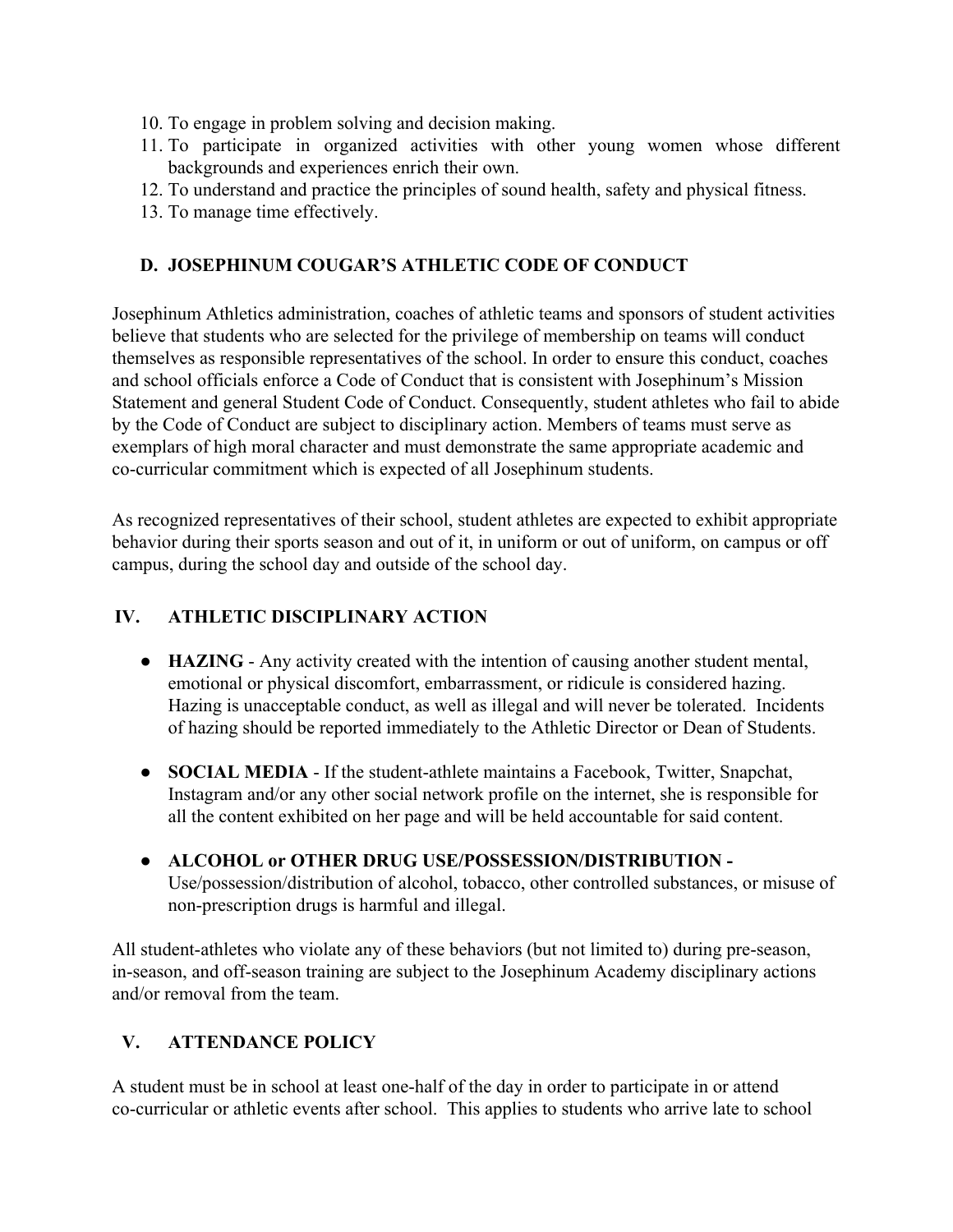- 10. To engage in problem solving and decision making.
- 11. To participate in organized activities with other young women whose different backgrounds and experiences enrich their own.
- 12. To understand and practice the principles of sound health, safety and physical fitness.
- 13. To manage time effectively.

#### **D. JOSEPHINUM COUGAR'S ATHLETIC CODE OF CONDUCT**

Josephinum Athletics administration, coaches of athletic teams and sponsors of student activities believe that students who are selected for the privilege of membership on teams will conduct themselves as responsible representatives of the school. In order to ensure this conduct, coaches and school officials enforce a Code of Conduct that is consistent with Josephinum's Mission Statement and general Student Code of Conduct. Consequently, student athletes who fail to abide by the Code of Conduct are subject to disciplinary action. Members of teams must serve as exemplars of high moral character and must demonstrate the same appropriate academic and co-curricular commitment which is expected of all Josephinum students.

As recognized representatives of their school, student athletes are expected to exhibit appropriate behavior during their sports season and out of it, in uniform or out of uniform, on campus or off campus, during the school day and outside of the school day.

#### **IV. ATHLETIC DISCIPLINARY ACTION**

- **HAZING** Any activity created with the intention of causing another student mental, emotional or physical discomfort, embarrassment, or ridicule is considered hazing. Hazing is unacceptable conduct, as well as illegal and will never be tolerated. Incidents of hazing should be reported immediately to the Athletic Director or Dean of Students.
- **SOCIAL MEDIA** If the student-athlete maintains a Facebook, Twitter, Snapchat, Instagram and/or any other social network profile on the internet, she is responsible for all the content exhibited on her page and will be held accountable for said content.
- **● ALCOHOL or OTHER DRUG USE/POSSESSION/DISTRIBUTION -** Use/possession/distribution of alcohol, tobacco, other controlled substances, or misuse of non-prescription drugs is harmful and illegal.

All student-athletes who violate any of these behaviors (but not limited to) during pre-season, in-season, and off-season training are subject to the Josephinum Academy disciplinary actions and/or removal from the team.

#### **V. ATTENDANCE POLICY**

A student must be in school at least one-half of the day in order to participate in or attend co-curricular or athletic events after school. This applies to students who arrive late to school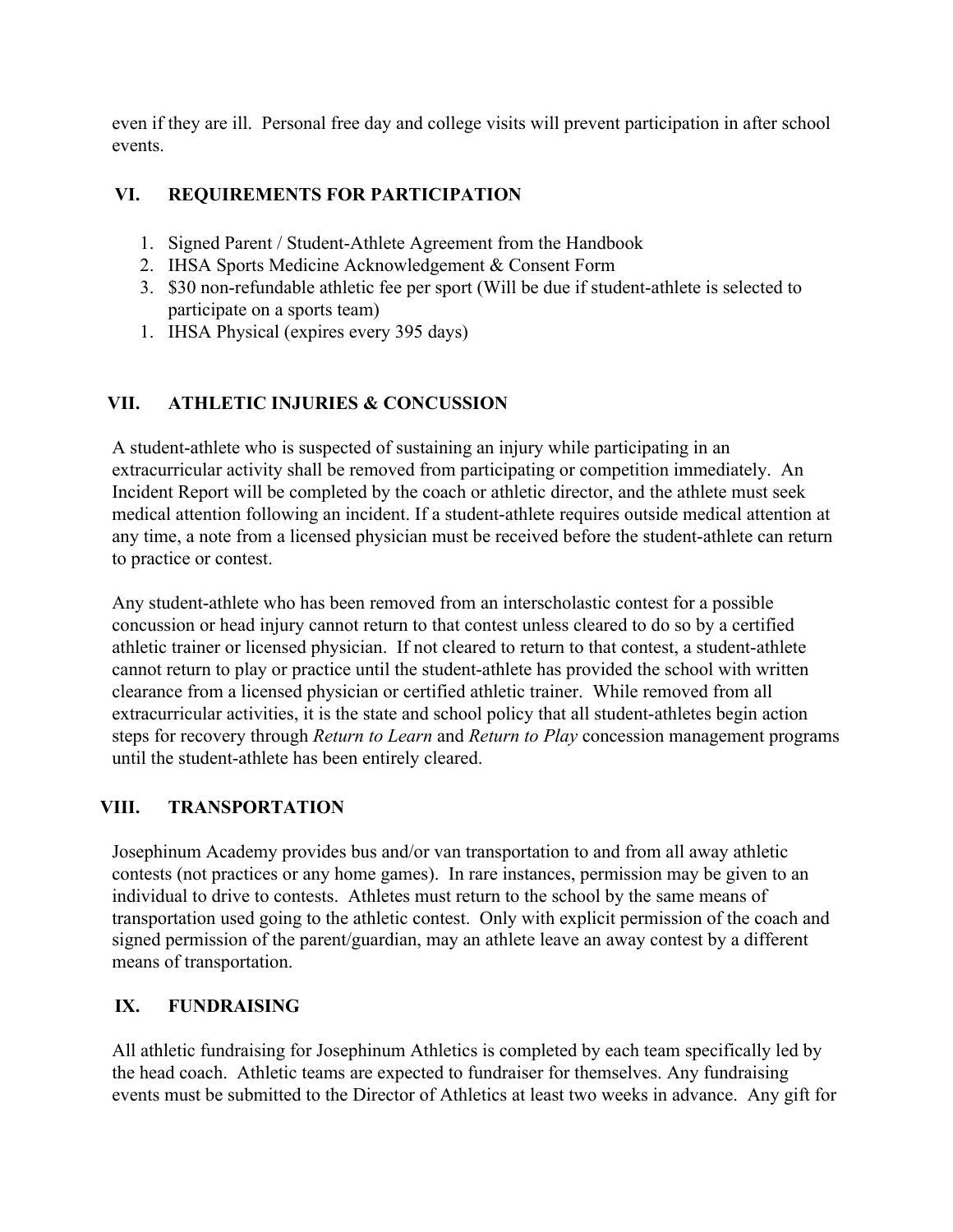even if they are ill. Personal free day and college visits will prevent participation in after school events.

# **VI. REQUIREMENTS FOR PARTICIPATION**

- 1. Signed Parent / Student-Athlete Agreement from the Handbook
- 2. IHSA Sports Medicine Acknowledgement & Consent Form
- 3. \$30 non-refundable athletic fee per sport (Will be due if student-athlete is selected to participate on a sports team)
- 1. IHSA Physical (expires every 395 days)

#### **VII. ATHLETIC INJURIES & CONCUSSION**

A student-athlete who is suspected of sustaining an injury while participating in an extracurricular activity shall be removed from participating or competition immediately. An Incident Report will be completed by the coach or athletic director, and the athlete must seek medical attention following an incident. If a student-athlete requires outside medical attention at any time, a note from a licensed physician must be received before the student-athlete can return to practice or contest.

Any student-athlete who has been removed from an interscholastic contest for a possible concussion or head injury cannot return to that contest unless cleared to do so by a certified athletic trainer or licensed physician. If not cleared to return to that contest, a student-athlete cannot return to play or practice until the student-athlete has provided the school with written clearance from a licensed physician or certified athletic trainer. While removed from all extracurricular activities, it is the state and school policy that all student-athletes begin action steps for recovery through *Return to Learn* and *Return to Play* concession management programs until the student-athlete has been entirely cleared.

#### **VIII. TRANSPORTATION**

Josephinum Academy provides bus and/or van transportation to and from all away athletic contests (not practices or any home games). In rare instances, permission may be given to an individual to drive to contests. Athletes must return to the school by the same means of transportation used going to the athletic contest. Only with explicit permission of the coach and signed permission of the parent/guardian, may an athlete leave an away contest by a different means of transportation.

#### **IX. FUNDRAISING**

All athletic fundraising for Josephinum Athletics is completed by each team specifically led by the head coach. Athletic teams are expected to fundraiser for themselves. Any fundraising events must be submitted to the Director of Athletics at least two weeks in advance. Any gift for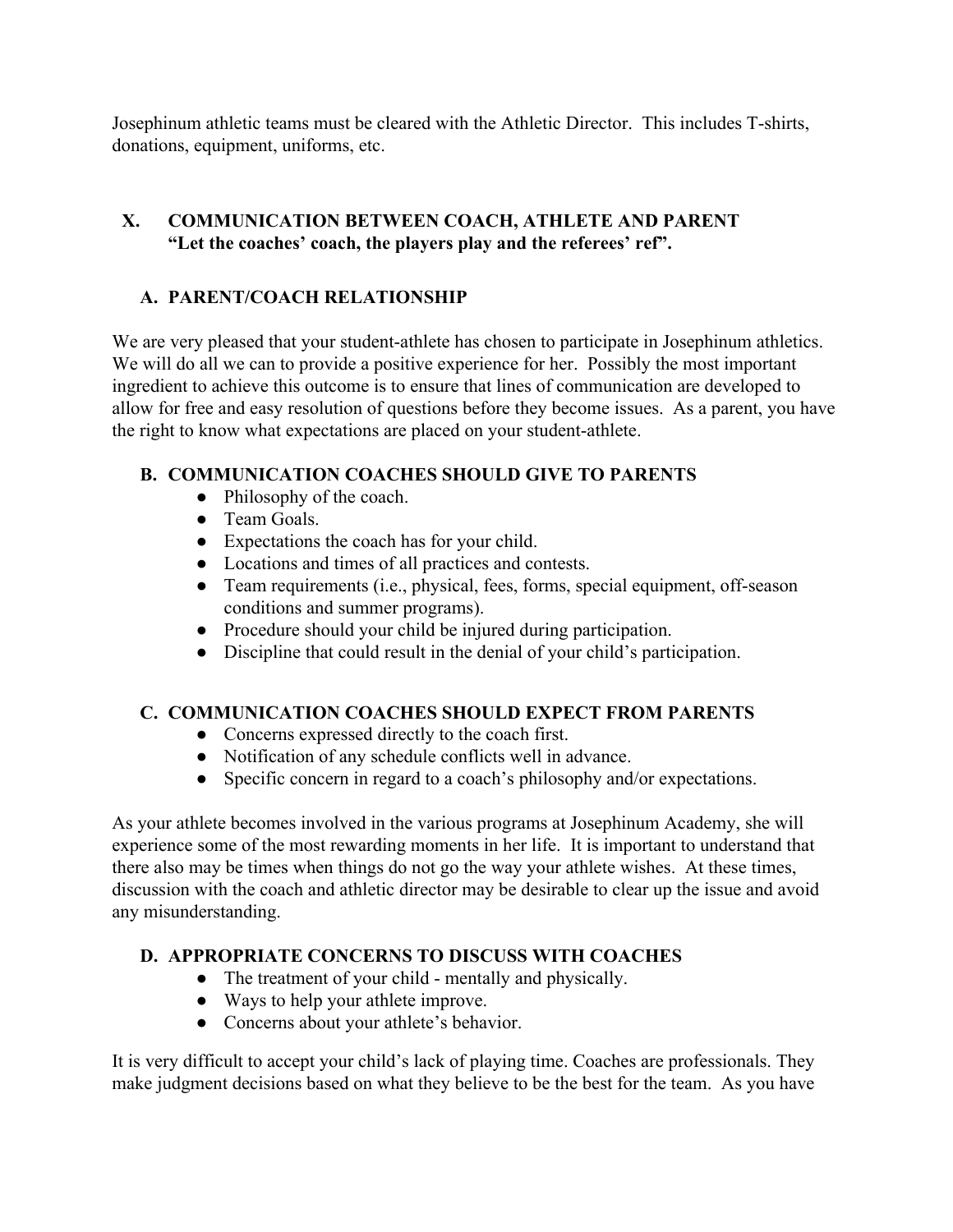Josephinum athletic teams must be cleared with the Athletic Director. This includes T-shirts, donations, equipment, uniforms, etc.

## **X. COMMUNICATION BETWEEN COACH, ATHLETE AND PARENT "Let the coaches' coach, the players play and the referees' ref".**

# **A. PARENT/COACH RELATIONSHIP**

We are very pleased that your student-athlete has chosen to participate in Josephinum athletics. We will do all we can to provide a positive experience for her. Possibly the most important ingredient to achieve this outcome is to ensure that lines of communication are developed to allow for free and easy resolution of questions before they become issues. As a parent, you have the right to know what expectations are placed on your student-athlete.

# **B. COMMUNICATION COACHES SHOULD GIVE TO PARENTS**

- Philosophy of the coach.
- Team Goals.
- Expectations the coach has for your child.
- Locations and times of all practices and contests.
- Team requirements (i.e., physical, fees, forms, special equipment, off-season conditions and summer programs).
- Procedure should your child be injured during participation.
- Discipline that could result in the denial of your child's participation.

#### **C. COMMUNICATION COACHES SHOULD EXPECT FROM PARENTS**

- Concerns expressed directly to the coach first.
- Notification of any schedule conflicts well in advance.
- Specific concern in regard to a coach's philosophy and/or expectations.

As your athlete becomes involved in the various programs at Josephinum Academy, she will experience some of the most rewarding moments in her life. It is important to understand that there also may be times when things do not go the way your athlete wishes. At these times, discussion with the coach and athletic director may be desirable to clear up the issue and avoid any misunderstanding.

# **D. APPROPRIATE CONCERNS TO DISCUSS WITH COACHES**

- The treatment of your child mentally and physically.
- Ways to help your athlete improve.
- Concerns about your athlete's behavior.

It is very difficult to accept your child's lack of playing time. Coaches are professionals. They make judgment decisions based on what they believe to be the best for the team. As you have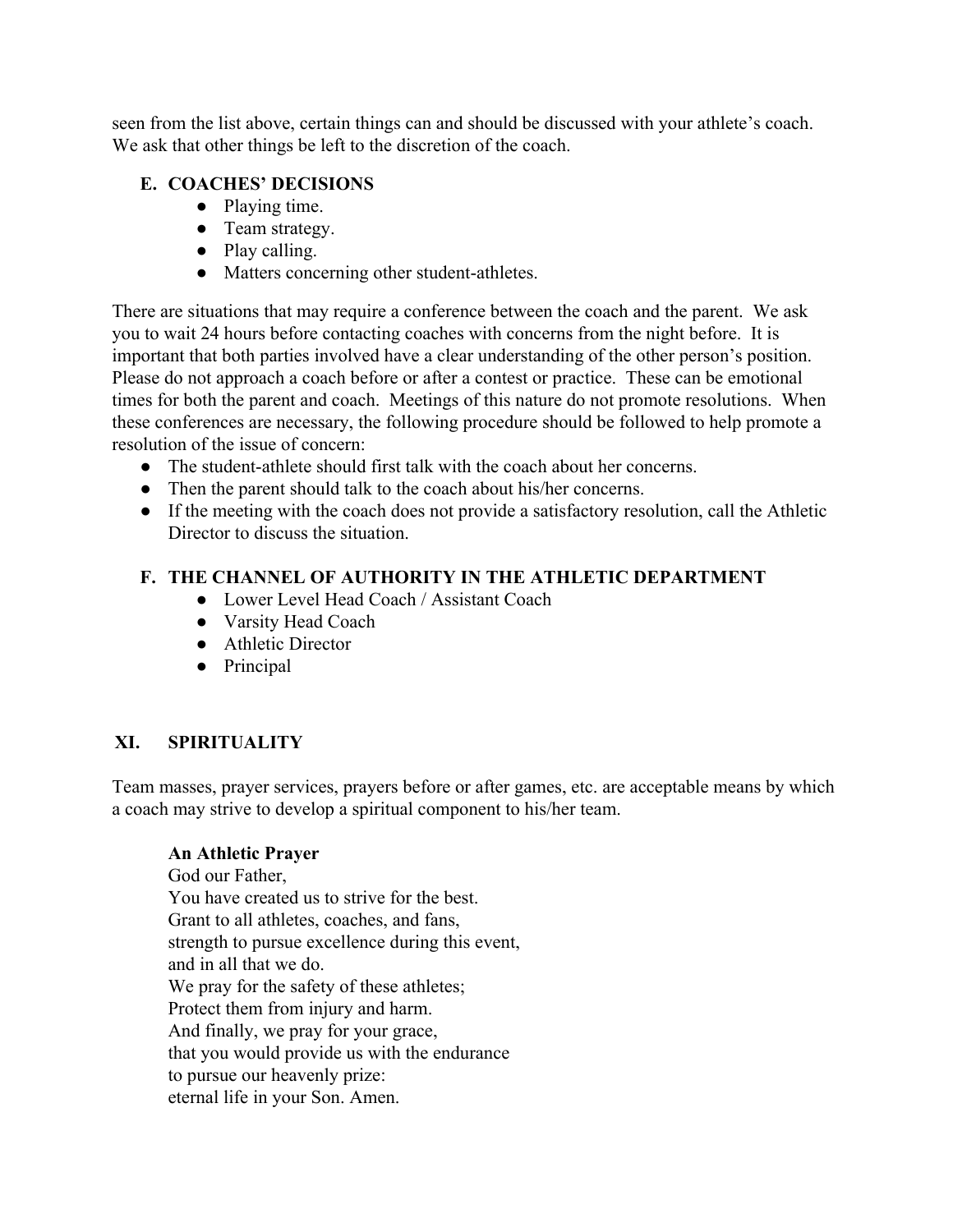seen from the list above, certain things can and should be discussed with your athlete's coach. We ask that other things be left to the discretion of the coach.

#### **E. COACHES' DECISIONS**

- Playing time.
- Team strategy.
- Play calling.
- Matters concerning other student-athletes.

There are situations that may require a conference between the coach and the parent. We ask you to wait 24 hours before contacting coaches with concerns from the night before. It is important that both parties involved have a clear understanding of the other person's position. Please do not approach a coach before or after a contest or practice. These can be emotional times for both the parent and coach. Meetings of this nature do not promote resolutions. When these conferences are necessary, the following procedure should be followed to help promote a resolution of the issue of concern:

- The student-athlete should first talk with the coach about her concerns.
- Then the parent should talk to the coach about his/her concerns.
- If the meeting with the coach does not provide a satisfactory resolution, call the Athletic Director to discuss the situation.

#### **F. THE CHANNEL OF AUTHORITY IN THE ATHLETIC DEPARTMENT**

- Lower Level Head Coach / Assistant Coach
- Varsity Head Coach
- Athletic Director
- Principal

#### **XI. SPIRITUALITY**

Team masses, prayer services, prayers before or after games, etc. are acceptable means by which a coach may strive to develop a spiritual component to his/her team.

#### **An Athletic Prayer**

God our Father You have created us to strive for the best. Grant to all athletes, coaches, and fans, strength to pursue excellence during this event, and in all that we do. We pray for the safety of these athletes; Protect them from injury and harm. And finally, we pray for your grace, that you would provide us with the endurance to pursue our heavenly prize: eternal life in your Son. Amen.